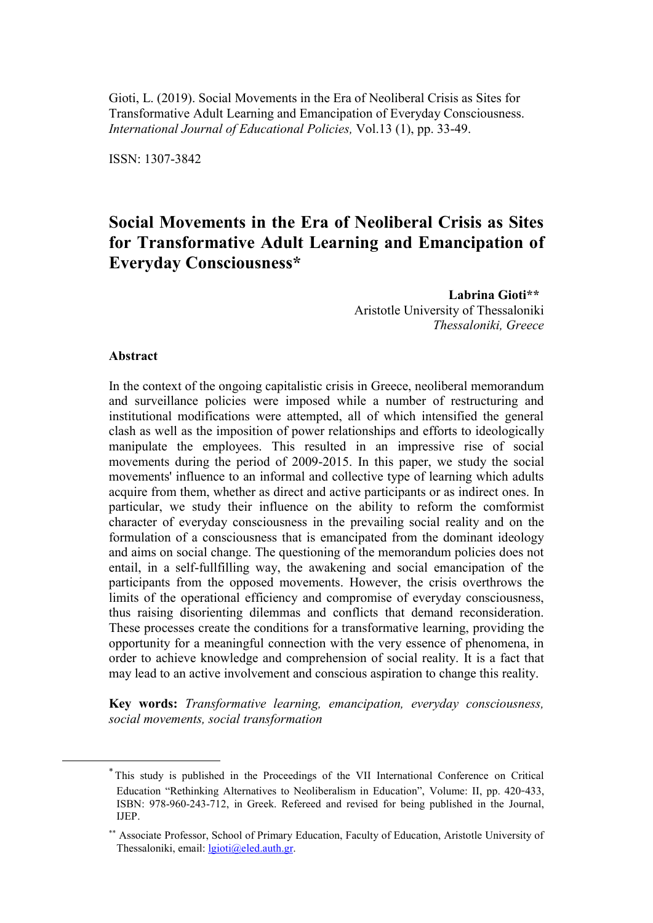Gioti, L. (2019). Social Movements in the Era of Neoliberal Crisis as Sites for Transformative Adult Learning and Emancipation of Everyday Consciousness. *International Journal of Educational Policies,* Vol.13 (1), pp. 33-49.

ISSN: 1307-3842

# **Social Movements in the Era of Neoliberal Crisis as Sites for Transformative Adult Learning and Emancipation of Everyday Consciousness\*<sup>1</sup>**

 **Labrina Gioti\*\*<sup>2</sup>** Aristotle University of Thessaloniki *Thessaloniki, Greece*

### **Abstract**

<u>.</u>

In the context of the ongoing capitalistic crisis in Greece, neoliberal memorandum and surveillance policies were imposed while a number of restructuring and institutional modifications were attempted, all of which intensified the general clash as well as the imposition of power relationships and efforts to ideologically manipulate the employees. This resulted in an impressive rise of social movements during the period of 2009-2015. In this paper, we study the social movements' influence to an informal and collective type of learning which adults acquire from them, whether as direct and active participants or as indirect ones. In particular, we study their influence on the ability to reform the comformist character of everyday consciousness in the prevailing social reality and on the formulation of a consciousness that is emancipated from the dominant ideology and aims on social change. The questioning of the memorandum policies does not entail, in a self-fullfilling way, the awakening and social emancipation of the participants from the opposed movements. However, the crisis overthrows the limits of the operational efficiency and compromise of everyday consciousness, thus raising disorienting dilemmas and conflicts that demand reconsideration. These processes create the conditions for a transformative learning, providing the opportunity for a meaningful connection with the very essence of phenomena, in order to achieve knowledge and comprehension of social reality. It is a fact that may lead to an active involvement and conscious aspiration to change this reality.

**Key words:** *Transformative learning, emancipation, everyday consciousness, social movements, social transformation*

<sup>\*</sup> This study is published in the Proceedings of the VII International Conference on Critical Education "Rethinking Alternatives to Neoliberalism in Education", Volume: II, pp. 420-433, ΙSBN: 978-960-243-712, in Greek. Refereed and revised for being published in the Journal, IJEP.

<sup>\*\*</sup> Associate Professor, School of Primary Education, Faculty of Education, Aristotle University of Thessaloniki, email: [lgioti@eled.auth.gr.](mailto:lgioti@eled.auth.gr)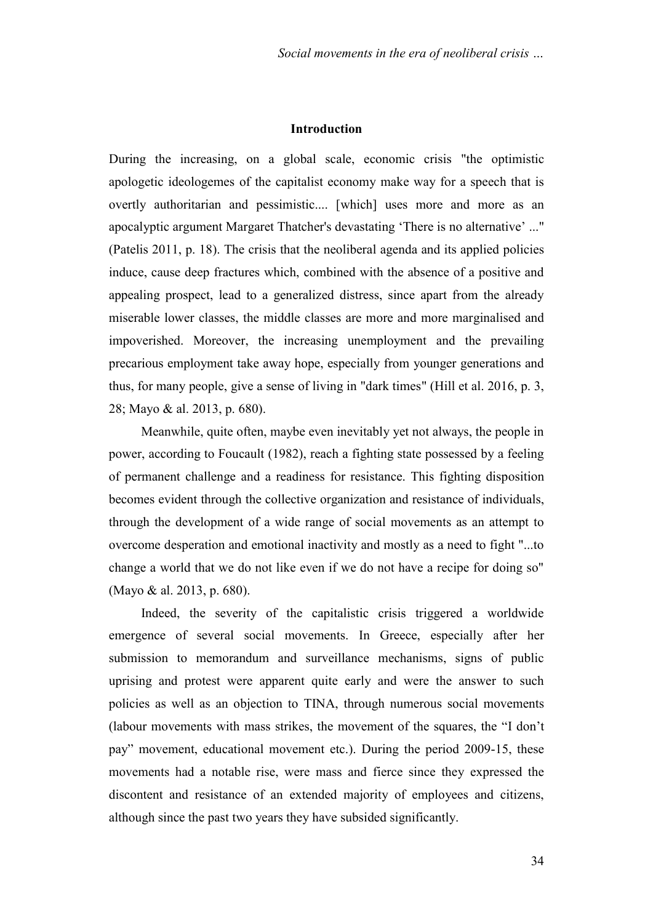## **Introduction**

During the increasing, on a global scale, economic crisis "the optimistic apologetic ideologemes of the capitalist economy make way for a speech that is overtly authoritarian and pessimistic.... [which] uses more and more as an apocalyptic argument Margaret Thatcher's devastating 'There is no alternative' ..." (Patelis 2011, p. 18). The crisis that the neoliberal agenda and its applied policies induce, cause deep fractures which, combined with the absence of a positive and appealing prospect, lead to a generalized distress, since apart from the already miserable lower classes, the middle classes are more and more marginalised and impoverished. Moreover, the increasing unemployment and the prevailing precarious employment take away hope, especially from younger generations and thus, for many people, give a sense of living in "dark times" (Hill et al. 2016, p. 3, 28; Mayo & al. 2013, p. 680).

Meanwhile, quite often, maybe even inevitably yet not always, the people in power, according to Foucault (1982), reach a fighting state possessed by a feeling of permanent challenge and a readiness for resistance. This fighting disposition becomes evident through the collective organization and resistance of individuals, through the development of a wide range of social movements as an attempt to overcome desperation and emotional inactivity and mostly as a need to fight "...to change a world that we do not like even if we do not have a recipe for doing so" (Mayo & al. 2013, p. 680).

Indeed, the severity of the capitalistic crisis triggered a worldwide emergence of several social movements. In Greece, especially after her submission to memorandum and surveillance mechanisms, signs of public uprising and protest were apparent quite early and were the answer to such policies as well as an objection to ΤΙΝΑ, through numerous social movements (labour movements with mass strikes, the movement of the squares, the "I don't pay" movement, educational movement etc.). During the period 2009-15, these movements had a notable rise, were mass and fierce since they expressed the discontent and resistance of an extended majority of employees and citizens, although since the past two years they have subsided significantly.

34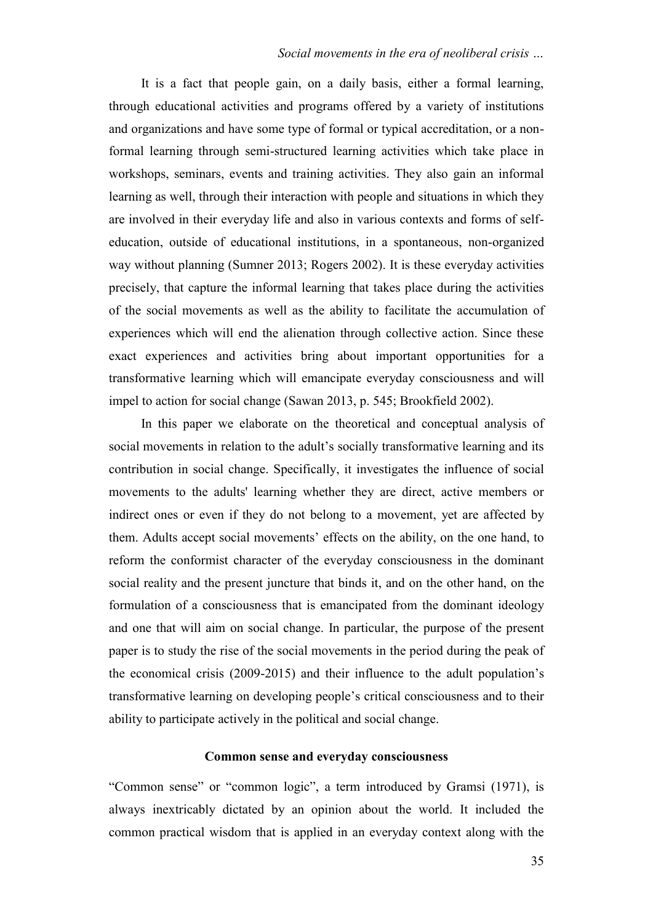## *Social movements in the era of neoliberal crisis …*

It is a fact that people gain, on a daily basis, either a formal learning, through educational activities and programs offered by a variety of institutions and organizations and have some type of formal or typical accreditation, or a nonformal learning through semi-structured learning activities which take place in workshops, seminars, events and training activities. They also gain an informal learning as well, through their interaction with people and situations in which they are involved in their everyday life and also in various contexts and forms of selfeducation, outside of educational institutions, in a spontaneous, non-organized way without planning (Sumner 2013; Rogers 2002). It is these everyday activities precisely, that capture the informal learning that takes place during the activities of the social movements as well as the ability to facilitate the accumulation of experiences which will end the alienation through collective action. Since these exact experiences and activities bring about important opportunities for a transformative learning which will emancipate everyday consciousness and will impel to action for social change (Sawan 2013, p. 545; Brookfield 2002).

In this paper we elaborate on the theoretical and conceptual analysis of social movements in relation to the adult's socially transformative learning and its contribution in social change. Specifically, it investigates the influence of social movements to the adults' learning whether they are direct, active members or indirect ones or even if they do not belong to a movement, yet are affected by them. Adults accept social movements' effects on the ability, on the one hand, to reform the conformist character of the everyday consciousness in the dominant social reality and the present juncture that binds it, and on the other hand, on the formulation of a consciousness that is emancipated from the dominant ideology and one that will aim on social change. In particular, the purpose of the present paper is to study the rise of the social movements in the period during the peak of the economical crisis (2009-2015) and their influence to the adult population's transformative learning on developing people's critical consciousness and to their ability to participate actively in the political and social change.

## **Common sense and everyday consciousness**

"Common sense" or "common logic", a term introduced by Gramsi (1971), is always inextricably dictated by an opinion about the world. It included the common practical wisdom that is applied in an everyday context along with the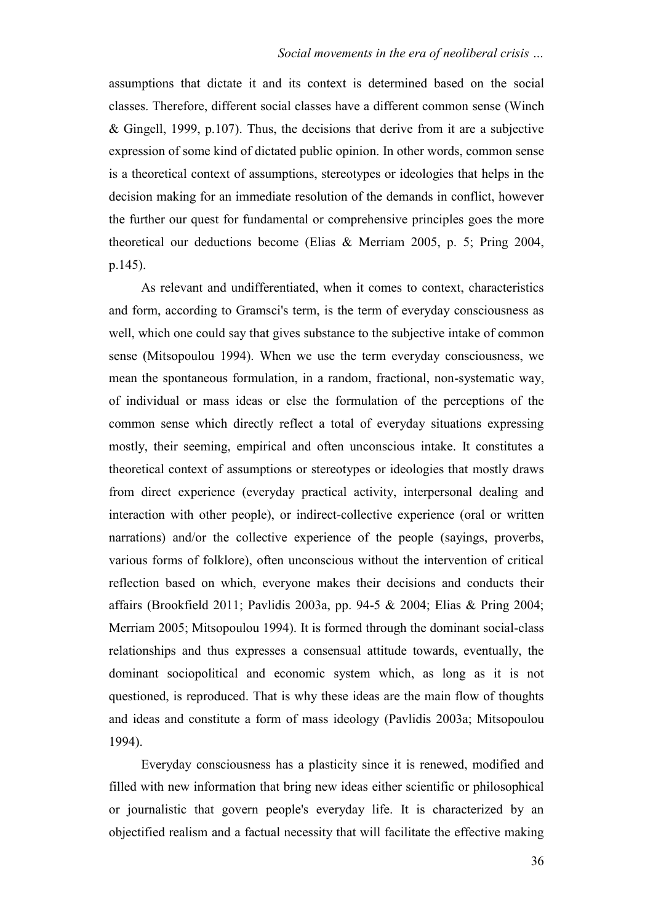assumptions that dictate it and its context is determined based on the social classes. Therefore, different social classes have a different common sense (Winch & Gingell, 1999, p.107). Thus, the decisions that derive from it are a subjective expression of some kind of dictated public opinion. In other words, common sense is a theoretical context of assumptions, stereotypes or ideologies that helps in the decision making for an immediate resolution of the demands in conflict, however the further our quest for fundamental or comprehensive principles goes the more theoretical our deductions become (Elias & Merriam 2005, p. 5; Pring 2004, p.145).

As relevant and undifferentiated, when it comes to context, characteristics and form, according to Gramsci's term, is the term of everyday consciousness as well, which one could say that gives substance to the subjective intake of common sense (Mitsopoulou 1994). When we use the term everyday consciousness, we mean the spontaneous formulation, in a random, fractional, non-systematic way, of individual or mass ideas or else the formulation of the perceptions of the common sense which directly reflect a total of everyday situations expressing mostly, their seeming, empirical and often unconscious intake. It constitutes a theoretical context of assumptions or stereotypes or ideologies that mostly draws from direct experience (everyday practical activity, interpersonal dealing and interaction with other people), or indirect-collective experience (oral or written narrations) and/or the collective experience of the people (sayings, proverbs, various forms of folklore), often unconscious without the intervention of critical reflection based on which, everyone makes their decisions and conducts their affairs (Brookfield 2011; Pavlidis 2003a, pp. 94-5 & 2004; Elias & Pring 2004; Merriam 2005; Mitsopoulou 1994). It is formed through the dominant social-class relationships and thus expresses a consensual attitude towards, eventually, the dominant sociopolitical and economic system which, as long as it is not questioned, is reproduced. That is why these ideas are the main flow of thoughts and ideas and constitute a form of mass ideology (Pavlidis 2003a; Mitsopoulou 1994).

Everyday consciousness has a plasticity since it is renewed, modified and filled with new information that bring new ideas either scientific or philosophical or journalistic that govern people's everyday life. It is characterized by an objectified realism and a factual necessity that will facilitate the effective making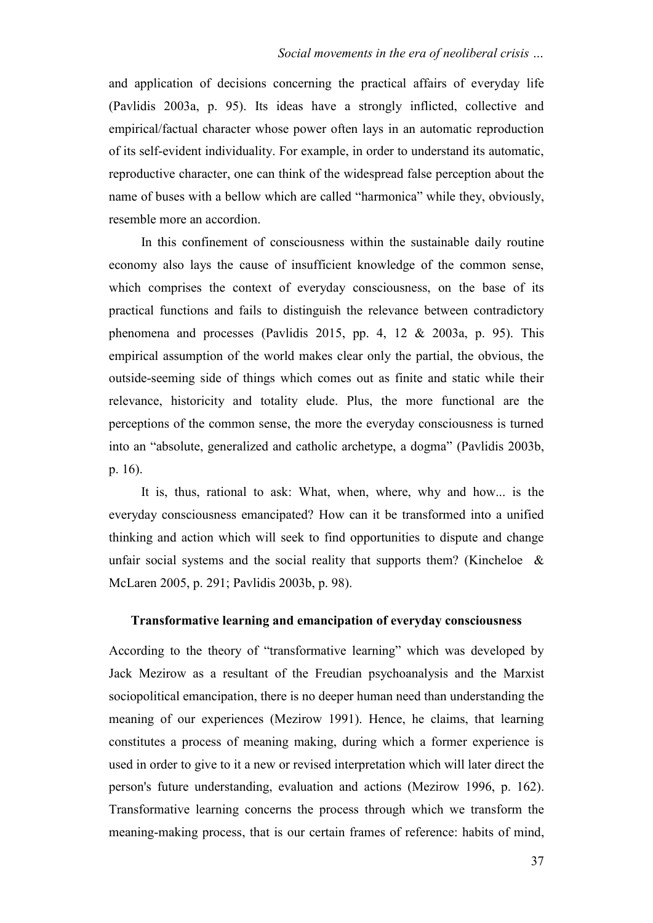and application of decisions concerning the practical affairs of everyday life (Pavlidis 2003a, p. 95). Its ideas have a strongly inflicted, collective and empirical/factual character whose power often lays in an automatic reproduction of its self-evident individuality. For example, in order to understand its automatic, reproductive character, one can think of the widespread false perception about the name of buses with a bellow which are called "harmonica" while they, obviously, resemble more an accordion.

In this confinement of consciousness within the sustainable daily routine economy also lays the cause of insufficient knowledge of the common sense, which comprises the context of everyday consciousness, on the base of its practical functions and fails to distinguish the relevance between contradictory phenomena and processes (Pavlidis 2015, pp. 4, 12 & 2003a, p. 95). This empirical assumption of the world makes clear only the partial, the obvious, the outside-seeming side of things which comes out as finite and static while their relevance, historicity and totality elude. Plus, the more functional are the perceptions of the common sense, the more the everyday consciousness is turned into an "absolute, generalized and catholic archetype, a dogma" (Pavlidis 2003b, p. 16).

It is, thus, rational to ask: What, when, where, why and how... is the everyday consciousness emancipated? How can it be transformed into a unified thinking and action which will seek to find opportunities to dispute and change unfair social systems and the social reality that supports them? (Kincheloe  $\&$ McLaren 2005, p. 291; Pavlidis 2003b, p. 98).

#### **Transformative learning and emancipation of everyday consciousness**

According to the theory of "transformative learning" which was developed by Jack Mezirow as a resultant of the Freudian psychoanalysis and the Marxist sociopolitical emancipation, there is no deeper human need than understanding the meaning of our experiences (Mezirow 1991). Hence, he claims, that learning constitutes a process of meaning making, during which a former experience is used in order to give to it a new or revised interpretation which will later direct the person's future understanding, evaluation and actions (Mezirow 1996, p. 162). Transformative learning concerns the process through which we transform the meaning-making process, that is our certain frames of reference: habits of mind,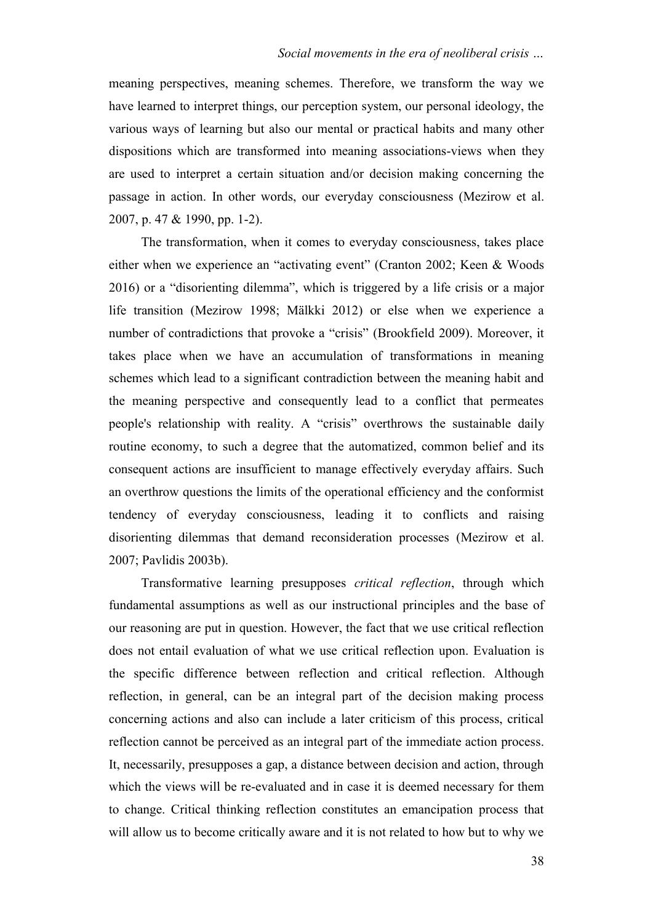meaning perspectives, meaning schemes. Therefore, we transform the way we have learned to interpret things, our perception system, our personal ideology, the various ways of learning but also our mental or practical habits and many other dispositions which are transformed into meaning associations-views when they are used to interpret a certain situation and/or decision making concerning the passage in action. In other words, our everyday consciousness (Mezirow et al. 2007, p. 47 & 1990, pp. 1-2).

The transformation, when it comes to everyday consciousness, takes place either when we experience an "activating event" (Cranton 2002; Keen & Woods 2016) or a "disorienting dilemma", which is triggered by a life crisis or a major life transition (Mezirow 1998; Mälkki 2012) or else when we experience a number of contradictions that provoke a "crisis" (Brookfield 2009). Moreover, it takes place when we have an accumulation of transformations in meaning schemes which lead to a significant contradiction between the meaning habit and the meaning perspective and consequently lead to a conflict that permeates people's relationship with reality. A "crisis" overthrows the sustainable daily routine economy, to such a degree that the automatized, common belief and its consequent actions are insufficient to manage effectively everyday affairs. Such an overthrow questions the limits of the operational efficiency and the conformist tendency of everyday consciousness, leading it to conflicts and raising disorienting dilemmas that demand reconsideration processes (Mezirow et al. 2007; Pavlidis 2003b).

Transformative learning presupposes *critical reflection*, through which fundamental assumptions as well as our instructional principles and the base of our reasoning are put in question. However, the fact that we use critical reflection does not entail evaluation of what we use critical reflection upon. Evaluation is the specific difference between reflection and critical reflection. Although reflection, in general, can be an integral part of the decision making process concerning actions and also can include a later criticism of this process, critical reflection cannot be perceived as an integral part of the immediate action process. It, necessarily, presupposes a gap, a distance between decision and action, through which the views will be re-evaluated and in case it is deemed necessary for them to change. Critical thinking reflection constitutes an emancipation process that will allow us to become critically aware and it is not related to how but to why we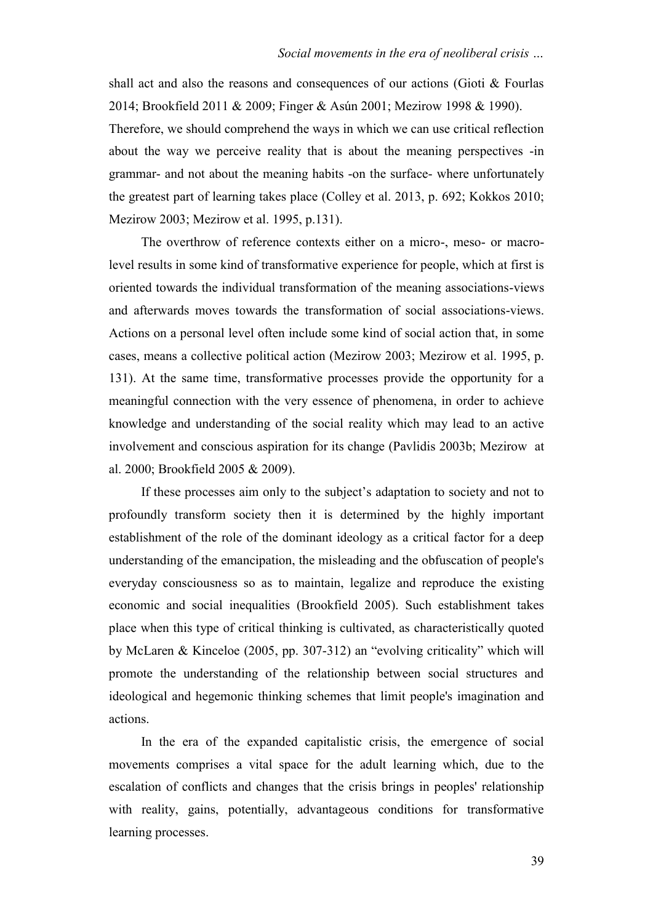shall act and also the reasons and consequences of our actions (Gioti & Fourlas 2014; Brookfield 2011 & 2009; Finger & Asún 2001; Mezirow 1998 & 1990). Therefore, we should comprehend the ways in which we can use critical reflection about the way we perceive reality that is about the meaning perspectives -in grammar- and not about the meaning habits -on the surface- where unfortunately the greatest part of learning takes place (Colley et al. 2013, p. 692; Kokkos 2010; Mezirow 2003; Mezirow et al. 1995, p.131).

The overthrow of reference contexts either on a micro-, meso- or macrolevel results in some kind of transformative experience for people, which at first is oriented towards the individual transformation of the meaning associations-views and afterwards moves towards the transformation of social associations-views. Actions on a personal level often include some kind of social action that, in some cases, means a collective political action (Mezirow 2003; Mezirow et al. 1995, p. 131). At the same time, transformative processes provide the opportunity for a meaningful connection with the very essence of phenomena, in order to achieve knowledge and understanding of the social reality which may lead to an active involvement and conscious aspiration for its change (Pavlidis 2003b; Mezirow at al. 2000; Brookfield 2005 & 2009).

If these processes aim only to the subject's adaptation to society and not to profoundly transform society then it is determined by the highly important establishment of the role of the dominant ideology as a critical factor for a deep understanding of the emancipation, the misleading and the obfuscation of people's everyday consciousness so as to maintain, legalize and reproduce the existing economic and social inequalities (Brookfield 2005). Such establishment takes place when this type of critical thinking is cultivated, as characteristically quoted by McLaren & Kinceloe (2005, pp. 307-312) an "evolving criticality" which will promote the understanding of the relationship between social structures and ideological and hegemonic thinking schemes that limit people's imagination and actions.

In the era of the expanded capitalistic crisis, the emergence of social movements comprises a vital space for the adult learning which, due to the escalation of conflicts and changes that the crisis brings in peoples' relationship with reality, gains, potentially, advantageous conditions for transformative learning processes.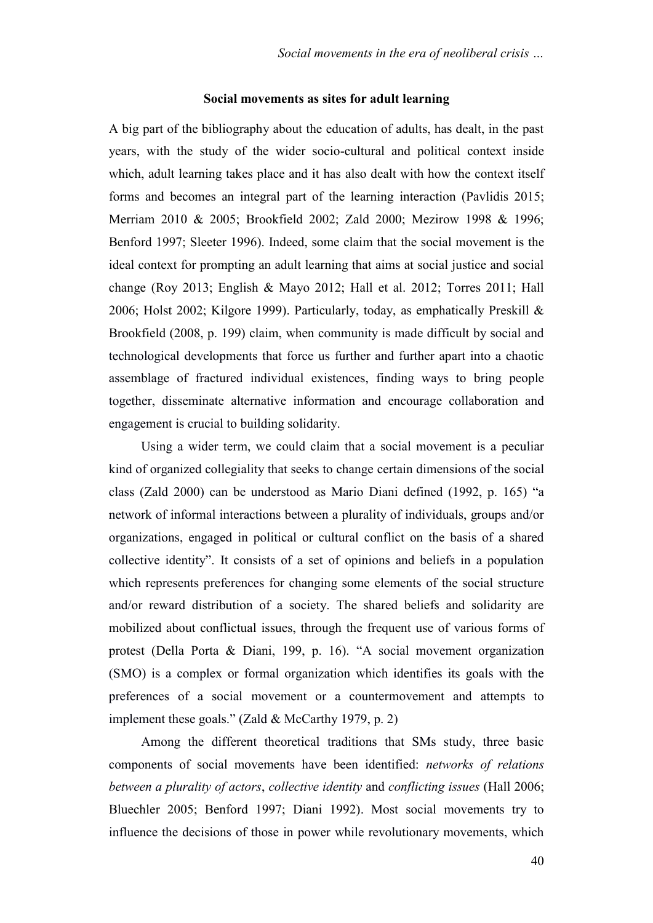#### **Social movements as sites for adult learning**

A big part of the bibliography about the education of adults, has dealt, in the past years, with the study of the wider socio-cultural and political context inside which, adult learning takes place and it has also dealt with how the context itself forms and becomes an integral part of the learning interaction (Pavlidis 2015; Merriam 2010 & 2005; Brookfield 2002; Zald 2000; Mezirow 1998 & 1996; Benford 1997; Sleeter 1996). Indeed, some claim that the social movement is the ideal context for prompting an adult learning that aims at social justice and social change (Roy 2013; English & Mayo 2012; Hall et al. 2012; Torres 2011; Hall 2006; Holst 2002; Kilgore 1999). Particularly, today, as emphatically Preskill & Brookfield (2008, p. 199) claim, when community is made difficult by social and technological developments that force us further and further apart into a chaotic assemblage of fractured individual existences, finding ways to bring people together, disseminate alternative information and encourage collaboration and engagement is crucial to building solidarity.

Using a wider term, we could claim that a social movement is a peculiar kind of organized collegiality that seeks to change certain dimensions of the social class (Zald 2000) can be understood as Mario Diani defined (1992, p. 165) "a network of informal interactions between a plurality of individuals, groups and/or organizations, engaged in political or cultural conflict on the basis of a shared collective identity". It consists of a set of opinions and beliefs in a population which represents preferences for changing some elements of the social structure and/or reward distribution of a society. The shared beliefs and solidarity are mobilized about conflictual issues, through the frequent use of various forms of protest (Della Porta & Diani, 199, p. 16). "A social movement organization (SMO) is a complex or formal organization which identifies its goals with the preferences of a social movement or a countermovement and attempts to implement these goals." (Zald & McCarthy 1979, p. 2)

Among the different theoretical traditions that SMs study, three basic components of social movements have been identified: *networks of relations between a plurality of actors*, *collective identity* and *conflicting issues* (Hall 2006; Bluechler 2005; Benford 1997; Diani 1992). Most social movements try to influence the decisions of those in power while revolutionary movements, which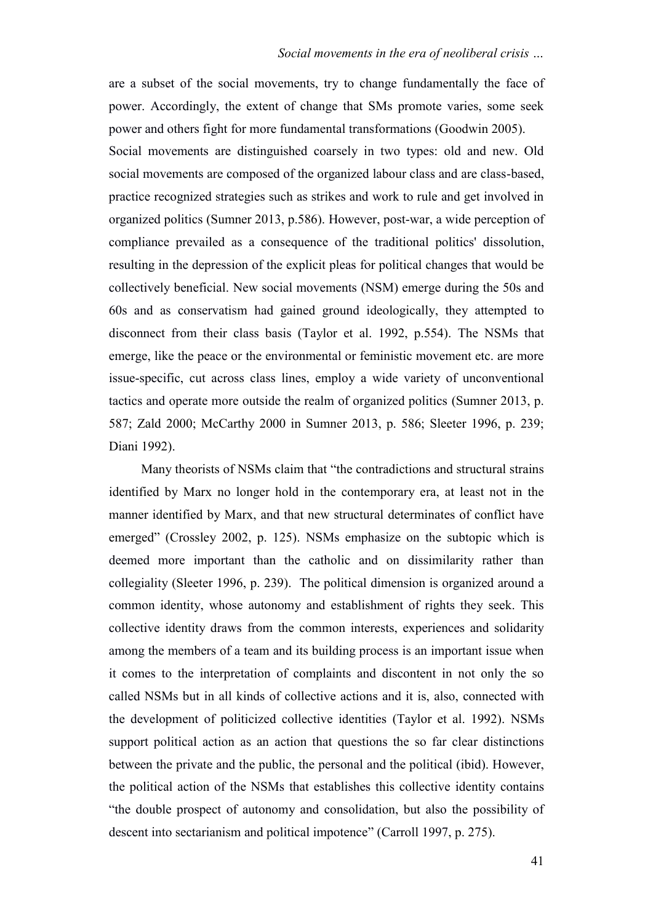are a subset of the social movements, try to change fundamentally the face of power. Accordingly, the extent of change that SMs promote varies, some seek power and others fight for more fundamental transformations (Goodwin 2005). Social movements are distinguished coarsely in two types: old and new. Old social movements are composed of the organized labour class and are class-based, practice recognized strategies such as strikes and work to rule and get involved in organized politics (Sumner 2013, p.586). However, post-war, a wide perception of compliance prevailed as a consequence of the traditional politics' dissolution, resulting in the depression of the explicit pleas for political changes that would be collectively beneficial. New social movements (NSM) emerge during the 50s and 60s and as conservatism had gained ground ideologically, they attempted to disconnect from their class basis (Taylor et al. 1992, p.554). The NSMs that emerge, like the peace or the environmental or feministic movement etc. are more issue-specific, cut across class lines, employ a wide variety of unconventional tactics and operate more outside the realm of organized politics (Sumner 2013, p. 587; Zald 2000; McCarthy 2000 in Sumner 2013, p. 586; Sleeter 1996, p. 239; Diani 1992).

Many theorists of NSMs claim that "the contradictions and structural strains identified by Marx no longer hold in the contemporary era, at least not in the manner identified by Marx, and that new structural determinates of conflict have emerged" (Crossley 2002, p. 125). NSMs emphasize on the subtopic which is deemed more important than the catholic and on dissimilarity rather than collegiality (Sleeter 1996, p. 239). The political dimension is organized around a common identity, whose autonomy and establishment of rights they seek. This collective identity draws from the common interests, experiences and solidarity among the members of a team and its building process is an important issue when it comes to the interpretation of complaints and discontent in not only the so called NSMs but in all kinds of collective actions and it is, also, connected with the development of politicized collective identities (Taylor et al. 1992). NSMs support political action as an action that questions the so far clear distinctions between the private and the public, the personal and the political (ibid). However, the political action of the NSMs that establishes this collective identity contains "the double prospect of autonomy and consolidation, but also the possibility of descent into sectarianism and political impotence" (Carroll 1997, p. 275).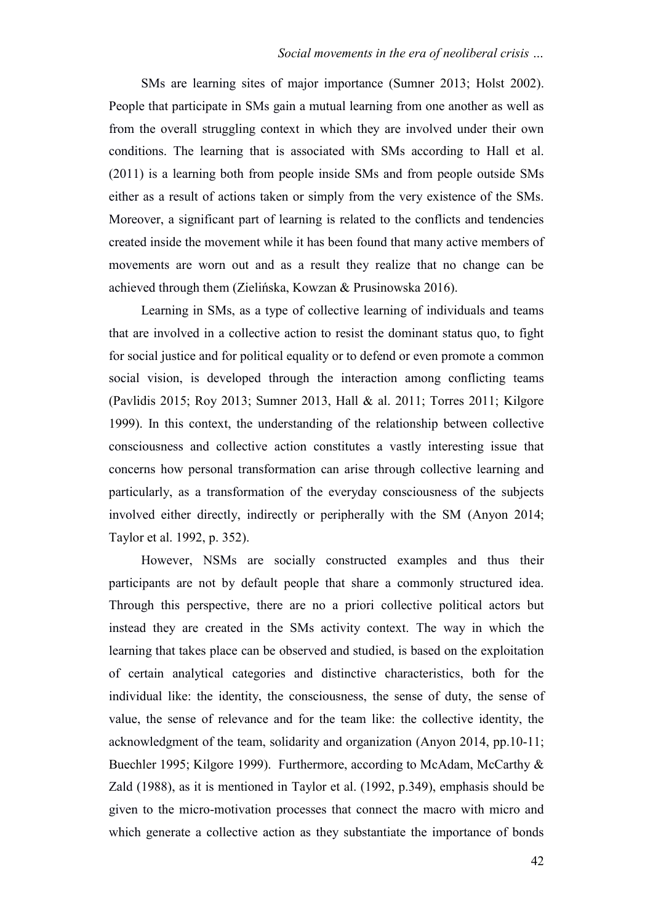SMs are learning sites of major importance (Sumner 2013; Holst 2002). People that participate in SMs gain a mutual learning from one another as well as from the overall struggling context in which they are involved under their own conditions. The learning that is associated with SMs according to Hall et al. (2011) is a learning both from people inside SMs and from people outside SMs either as a result of actions taken or simply from the very existence of the SMs. Moreover, a significant part of learning is related to the conflicts and tendencies created inside the movement while it has been found that many active members of movements are worn out and as a result they realize that no change can be achieved through them [\(Zielińska](http://www.tandfonline.com/author/Zieli%C5%84ska%2C+Ma%C5%82gorzata), [Kowzan](http://www.tandfonline.com/author/Kowzan%2C+Piotr) & [Prusinowska](http://www.tandfonline.com/author/Prusinowska%2C+Magdalena) 2016).

Learning in SMs, as a type of collective learning of individuals and teams that are involved in a collective action to resist the dominant status quo, to fight for social justice and for political equality or to defend or even promote a common social vision, is developed through the interaction among conflicting teams (Pavlidis 2015; Roy 2013; Sumner 2013, Hall & al. 2011; Torres 2011; Kilgore 1999). In this context, the understanding of the relationship between collective consciousness and collective action constitutes a vastly interesting issue that concerns how personal transformation can arise through collective learning and particularly, as a transformation of the everyday consciousness of the subjects involved either directly, indirectly or peripherally with the SM (Anyon 2014; Taylor et al. 1992, p. 352).

However, NSMs are socially constructed examples and thus their participants are not by default people that share a commonly structured idea. Through this perspective, there are no a priori collective political actors but instead they are created in the SMs activity context. The way in which the learning that takes place can be observed and studied, is based on the exploitation of certain analytical categories and distinctive characteristics, both for the individual like: the identity, the consciousness, the sense of duty, the sense of value, the sense of relevance and for the team like: the collective identity, the acknowledgment of the team, solidarity and organization (Anyon 2014, pp.10-11; Buechler 1995; Kilgore 1999). Furthermore, according to McAdam, McCarthy & Zald (1988), as it is mentioned in Taylor et al. (1992, p.349), emphasis should be given to the micro-motivation processes that connect the macro with micro and which generate a collective action as they substantiate the importance of bonds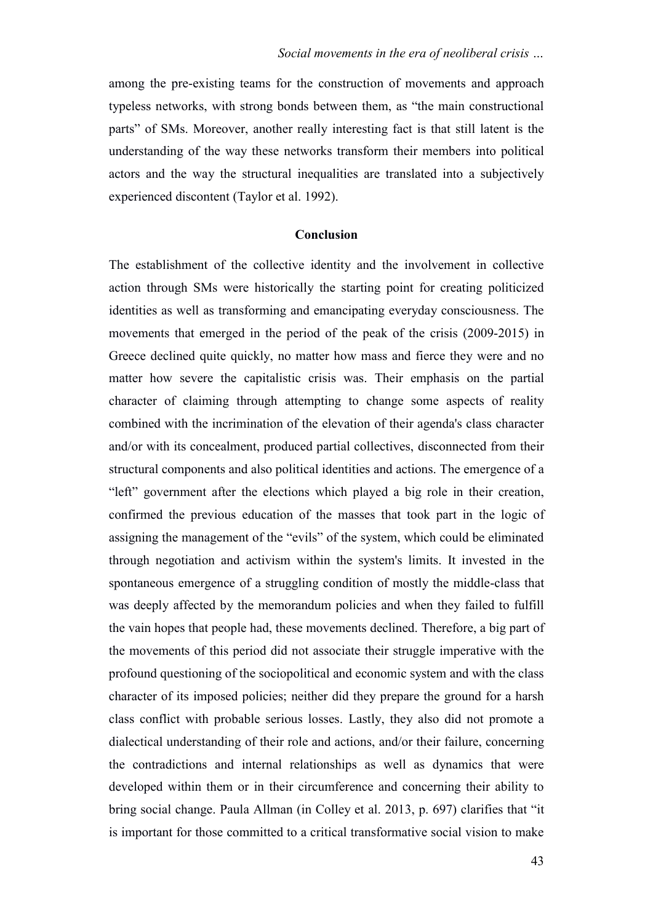among the pre-existing teams for the construction of movements and approach typeless networks, with strong bonds between them, as "the main constructional parts" of SMs. Moreover, another really interesting fact is that still latent is the understanding of the way these networks transform their members into political actors and the way the structural inequalities are translated into a subjectively experienced discontent (Taylor et al. 1992).

## **Conclusion**

The establishment of the collective identity and the involvement in collective action through SMs were historically the starting point for creating politicized identities as well as transforming and emancipating everyday consciousness. The movements that emerged in the period of the peak of the crisis (2009-2015) in Greece declined quite quickly, no matter how mass and fierce they were and no matter how severe the capitalistic crisis was. Their emphasis on the partial character of claiming through attempting to change some aspects of reality combined with the incrimination of the elevation of their agenda's class character and/or with its concealment, produced partial collectives, disconnected from their structural components and also political identities and actions. The emergence of a "left" government after the elections which played a big role in their creation, confirmed the previous education of the masses that took part in the logic of assigning the management of the "evils" of the system, which could be eliminated through negotiation and activism within the system's limits. It invested in the spontaneous emergence of a struggling condition of mostly the middle-class that was deeply affected by the memorandum policies and when they failed to fulfill the vain hopes that people had, these movements declined. Therefore, a big part of the movements of this period did not associate their struggle imperative with the profound questioning of the sociopolitical and economic system and with the class character of its imposed policies; neither did they prepare the ground for a harsh class conflict with probable serious losses. Lastly, they also did not promote a dialectical understanding of their role and actions, and/or their failure, concerning the contradictions and internal relationships as well as dynamics that were developed within them or in their circumference and concerning their ability to bring social change. Paula Allman (in Colley et al. 2013, p. 697) clarifies that "it is important for those committed to a critical transformative social vision to make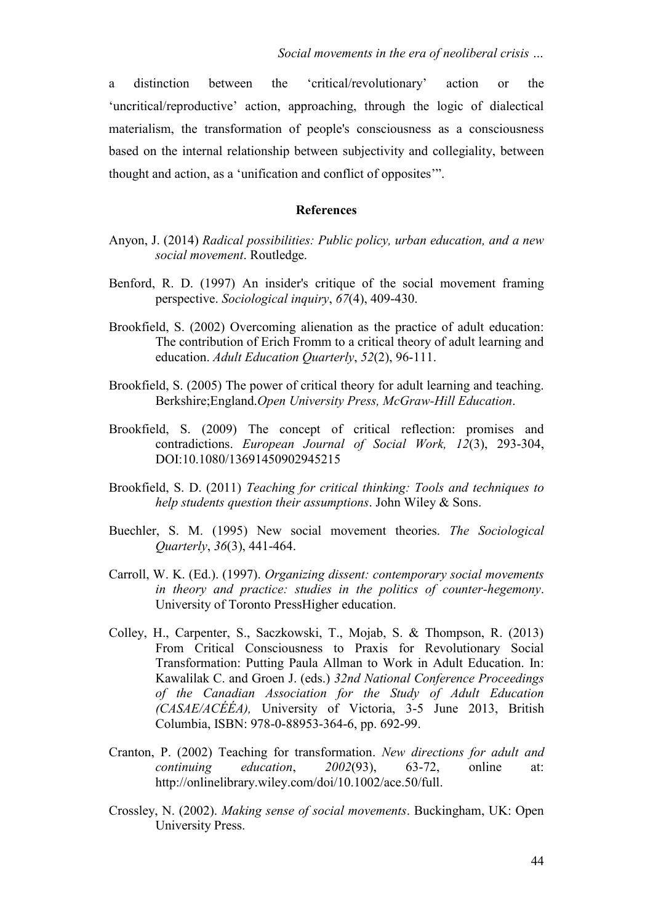a distinction between the 'critical/revolutionary' action or the 'uncritical/reproductive' action, approaching, through the logic of dialectical materialism, the transformation of people's consciousness as a consciousness based on the internal relationship between subjectivity and collegiality, between thought and action, as a 'unification and conflict of opposites'".

## **References**

- Anyon, J. (2014) *Radical possibilities: Public policy, urban education, and a new social movement*. Routledge.
- Benford, R. D. (1997) An insider's critique of the social movement framing perspective. *Sociological inquiry*, *67*(4), 409-430.
- Brookfield, S. (2002) Overcoming alienation as the practice of adult education: The contribution of Erich Fromm to a critical theory of adult learning and education. *Adult Education Quarterly*, *52*(2), 96-111.
- Brookfield, S. (2005) The power of critical theory for adult learning and teaching. Berkshire;England.*Open University Press, McGraw-Hill Education*.
- Brookfield, S. (2009) The concept of critical reflection: promises and contradictions. *European Journal of Social Work, 12*(3), 293-304, DOI:10.1080/13691450902945215
- Brookfield, S. D. (2011) *Teaching for critical thinking: Tools and techniques to help students question their assumptions*. John Wiley & Sons.
- Buechler, S. M. (1995) New social movement theories. *The Sociological Quarterly*, *36*(3), 441-464.
- Carroll, W. K. (Ed.). (1997). *Organizing dissent: contemporary social movements in theory and practice: studies in the politics of counter-hegemony*. University of Toronto PressHigher education.
- Colley, H., Carpenter, S., Saczkowski, T., Mojab, S. & Thompson, R. (2013) From Critical Consciousness to Praxis for Revolutionary Social Transformation: Putting Paula Allman to Work in Adult Education. In: Kawalilak C. and Groen J. (eds.) *32nd National Conference Proceedings of the Canadian Association for the Study of Adult Education (CASAE/ACÉÉA),* University of Victoria, 3-5 June 2013, British Columbia, ISBN: 978-0-88953-364-6, pp. 692-99.
- Cranton, P. (2002) Teaching for transformation. *New directions for adult and continuing education*, *2002*(93), 63-72, online at: [http://onlinelibrary.wiley.com/doi/10.1002/ace.50/full.](http://onlinelibrary.wiley.com/doi/10.1002/ace.50/full)
- Crossley, N. (2002). *Making sense of social movements*. Buckingham, UK: Open University Press.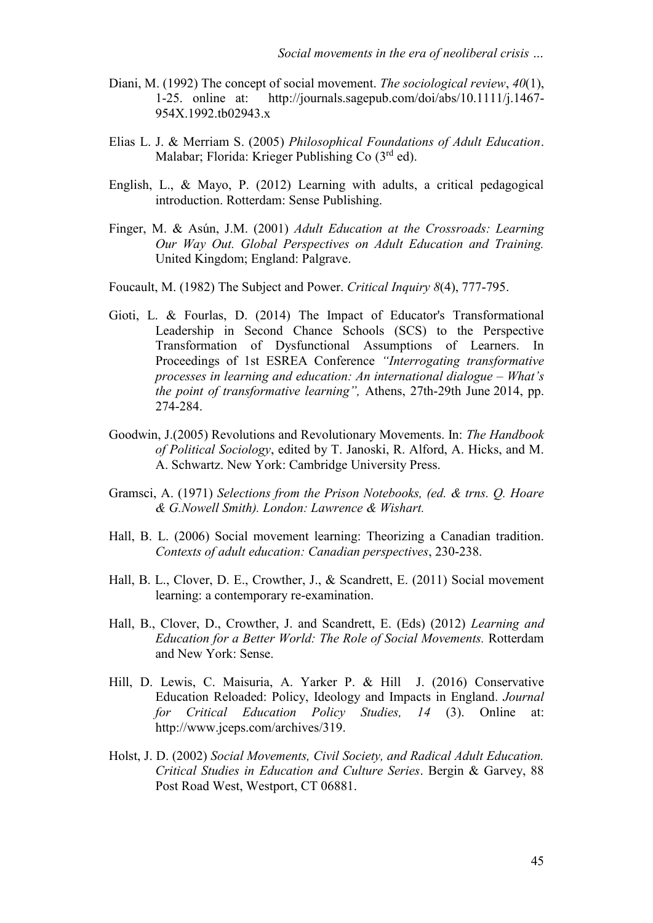- Diani, M. (1992) The concept of social movement. *The sociological review*, *40*(1), 1-25. online at: [http://journals.sagepub.com/doi/abs/10.1111/j.1467-](http://journals.sagepub.com/doi/abs/10.1111/j.1467-954X.1992.tb02943.x) [954X.1992.tb02943.x](http://journals.sagepub.com/doi/abs/10.1111/j.1467-954X.1992.tb02943.x)
- Elias L. J. & Merriam S. (2005) *Philosophical Foundations of Adult Education*. Malabar; Florida: Krieger Publishing Co (3rd ed).
- English, L., & Mayo, P. (2012) Learning with adults, a critical pedagogical introduction. Rotterdam: Sense Publishing.
- Finger, M. & Asún, J.M. (2001) *Adult Education at the Crossroads: Learning Our Way Out. Global Perspectives on Adult Education and Training.* United Kingdom; England: Palgrave.
- Foucault, M. (1982) The Subject and Power. *Critical Inquiry 8*(4), 777-795.
- Gioti, L. & Fourlas, D. (2014) The Impact of Educator's Transformational Leadership in Second Chance Schools (SCS) to the Perspective Transformation of Dysfunctional Assumptions of Learners. In Proceedings of 1st ESREA Conference *"Interrogating transformative processes in learning and education: An international dialogue – What's the point of transformative learning",* Athens, 27th-29th June 2014, pp. 274-284.
- Goodwin, J.(2005) Revolutions and Revolutionary Movements. In: *The Handbook of Political Sociology*, edited by T. Janoski, R. Alford, A. Hicks, and M. A. Schwartz. New York: Cambridge University Press.
- Gramsci, A. (1971) *Selections from the Prison Notebooks, (ed. & trns. Q. Hoare & G.Nowell Smith). London: Lawrence & Wishart.*
- Hall, B. L. (2006) Social movement learning: Theorizing a Canadian tradition. *Contexts of adult education: Canadian perspectives*, 230-238.
- Hall, B. L., Clover, D. E., Crowther, J., & Scandrett, E. (2011) Social movement learning: a contemporary re-examination.
- Hall, B., Clover, D., Crowther, J. and Scandrett, E. (Eds) (2012) *Learning and Education for a Better World: The Role of Social Movements.* Rotterdam and New York: Sense.
- Hill, D. Lewis, C. Maisuria, A. Yarker P. & Hill J. (2016) [Conservative](http://www.jceps.com/archives/3193)  [Education Reloaded: Policy, Ideology and Impacts in England.](http://www.jceps.com/archives/3193) *Journal for Critical Education Policy Studies, 14* (3). Online at: [http://www.jceps.com/archives/319.](http://www.jceps.com/archives/319)
- Holst, J. D. (2002) *Social Movements, Civil Society, and Radical Adult Education. Critical Studies in Education and Culture Series*. Bergin & Garvey, 88 Post Road West, Westport, CT 06881.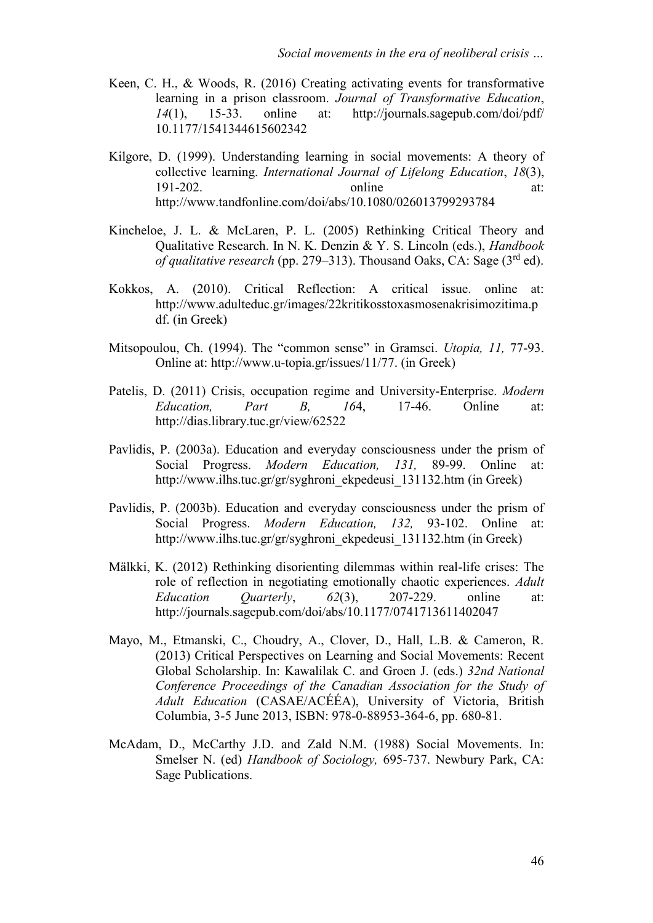- Keen, C. H., & Woods, R. (2016) Creating activating events for transformative learning in a prison classroom. *Journal of Transformative Education*, *14*(1), 15-33. online at: [http://journals.sagepub.com/doi/pdf/](http://journals.sagepub.com/doi/pdf/%2010.1177/1541344615602342)  [10.1177/1541344615602342](http://journals.sagepub.com/doi/pdf/%2010.1177/1541344615602342)
- Kilgore, D. (1999). Understanding learning in social movements: A theory of collective learning. *International Journal of Lifelong Education*, *18*(3), 191-202. online at: <http://www.tandfonline.com/doi/abs/10.1080/026013799293784>
- Kincheloe, J. L. & McLaren, P. L. (2005) Rethinking Critical Theory and Qualitative Research. In N. K. Denzin & Y. S. Lincoln (eds.), *Handbook of qualitative research* (pp. 279–313). Thousand Oaks, CA: Sage (3rd ed).
- Kokkos, A. (2010). Critical Reflection: A critical issue. online at: [http://www.adulteduc.gr/images/22kritikosstoxasmosenakrisimozitima.p](http://www.adulteduc.gr/images/22kritikosstoxasmosenakrisimozitima.pdf) [df.](http://www.adulteduc.gr/images/22kritikosstoxasmosenakrisimozitima.pdf) (in Greek)
- Mitsopoulou, Ch. (1994). The "common sense" in Gramsci. *Utopia, 11,* 77-93. Online at: [http://www.u-topia.gr/issues/11/77.](http://www.u-topia.gr/issues/11/77) (in Greek)
- Patelis, D. (2011) Crisis, occupation regime and University-Enterprise. *Modern Education, Part B, 16*4, 17-46. Online at: http://dias.library.tuc.gr/view/62522
- Pavlidis, P. (2003a). Education and everyday consciousness under the prism of Social Progress. *Modern Education, 131,* 89-99. Online at: [http://www.ilhs.tuc.gr/gr/syghroni\\_ekpedeusi\\_131132.htm](http://www.ilhs.tuc.gr/gr/syghroni_ekpedeusi_131132.htm) (in Greek)
- Pavlidis, P. (2003b). Education and everyday consciousness under the prism of Social Progress. *Modern Education, 132,* 93-102. Online at: [http://www.ilhs.tuc.gr/gr/syghroni\\_ekpedeusi\\_131132.htm](http://www.ilhs.tuc.gr/gr/syghroni_ekpedeusi_131132.htm) (in Greek)
- Mälkki, K. (2012) Rethinking disorienting dilemmas within real-life crises: The role of reflection in negotiating emotionally chaotic experiences. *Adult Education Quarterly*, *62*(3), 207-229. online at: <http://journals.sagepub.com/doi/abs/10.1177/0741713611402047>
- Mayo, M., Etmanski, C., Choudry, A., Clover, D., Hall, L.B. & Cameron, R. (2013) Critical Perspectives on Learning and Social Movements: Recent Global Scholarship. In: Kawalilak C. and Groen J. (eds.) *32nd National Conference Proceedings of the Canadian Association for the Study of Adult Education* (CASAE/ACÉÉA), University of Victoria, British Columbia, 3-5 June 2013, ISBN: 978-0-88953-364-6, pp. 680-81.
- McAdam, D., McCarthy J.D. and Zald N.M. (1988) Social Movements. In: Smelser N. (ed) *Handbook of Sociology,* 695-737. Newbury Park, CA: Sage Publications.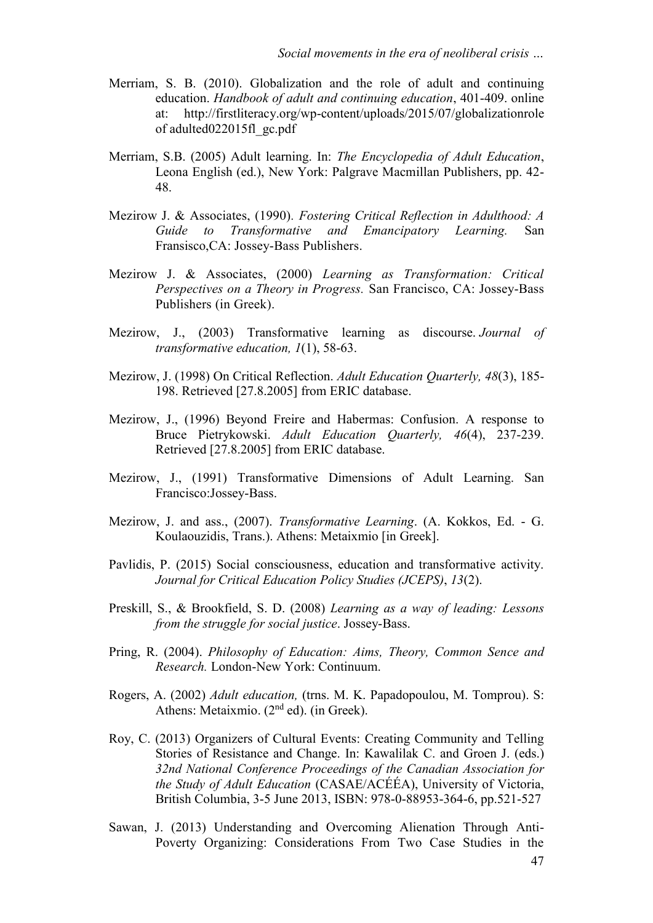- Merriam, S. B. (2010). Globalization and the role of adult and continuing education. *Handbook of adult and continuing education*, 401-409. online at: [http://firstliteracy.org/wp-content/uploads/2015/07/globalizationrole](http://firstliteracy.org/wp-content/uploads/2015/07/globalizationrole%20of%20adulted022015fl_gc.pdf)  [of adulted022015fl\\_gc.pdf](http://firstliteracy.org/wp-content/uploads/2015/07/globalizationrole%20of%20adulted022015fl_gc.pdf)
- Merriam, S.B. (2005) Adult learning. In: *The Encyclopedia of Adult Education*, Leona English (ed.), New York: Palgrave Macmillan Publishers, pp. 42- 48.
- Mezirow J. & Associates, (1990)*. Fostering Critical Reflection in Adulthood: A Guide to Transformative and Emancipatory Learning.* San Fransisco,CA: Jossey-Bass Publishers.
- Mezirow J. & Associates, (2000) *Learning as Transformation: Critical Perspectives on a Theory in Progress.* San Francisco, CA: Jossey-Bass Publishers (in Greek).
- Mezirow, J., (2003) Transformative learning as discourse. *Journal of transformative education, 1*(1), 58-63.
- Mezirow, J. (1998) On Critical Reflection. *Adult Education Quarterly, 48*(3), 185- 198. Retrieved [27.8.2005] from ERIC database.
- Mezirow, J., (1996) Beyond Freire and Habermas: Confusion. A response to Bruce Pietrykowski. *Adult Education Quarterly, 46*(4), 237-239. Retrieved [27.8.2005] from ERIC database.
- Mezirow, J., (1991) Transformative Dimensions of Adult Learning. San Francisco:Jossey-Bass.
- Mezirow, J. and ass., (2007). *Transformative Learning*. (A. Kokkos, Ed. G. Koulaouzidis, Trans.). Athens: Metaixmio [in Greek].
- Pavlidis, P. (2015) Social consciousness, education and transformative activity. *Journal for Critical Education Policy Studies (JCEPS)*, *13*(2).
- Preskill, S., & Brookfield, S. D. (2008) *Learning as a way of leading: Lessons from the struggle for social justice*. Jossey-Bass.
- Pring, R. (2004). *Philosophy of Education: Aims, Theory, Common Sence and Research.* London-New York: Continuum.
- Rogers, A. (2002) *Adult education,* (trns. Μ. Κ. Papadopoulou, Μ. Tomprou). S: Athens: Metaixmio. (2<sup>nd</sup> ed). (in Greek).
- Roy, C. (2013) Organizers of Cultural Events: Creating Community and Telling Stories of Resistance and Change. In: Kawalilak C. and Groen J. (eds.) *32nd National Conference Proceedings of the Canadian Association for the Study of Adult Education* (CASAE/ACÉÉA), University of Victoria, British Columbia, 3-5 June 2013, ISBN: 978-0-88953-364-6, pp.521-527
- Sawan, J. (2013) Understanding and Overcoming Alienation Through Anti-Poverty Organizing: Considerations From Two Case Studies in the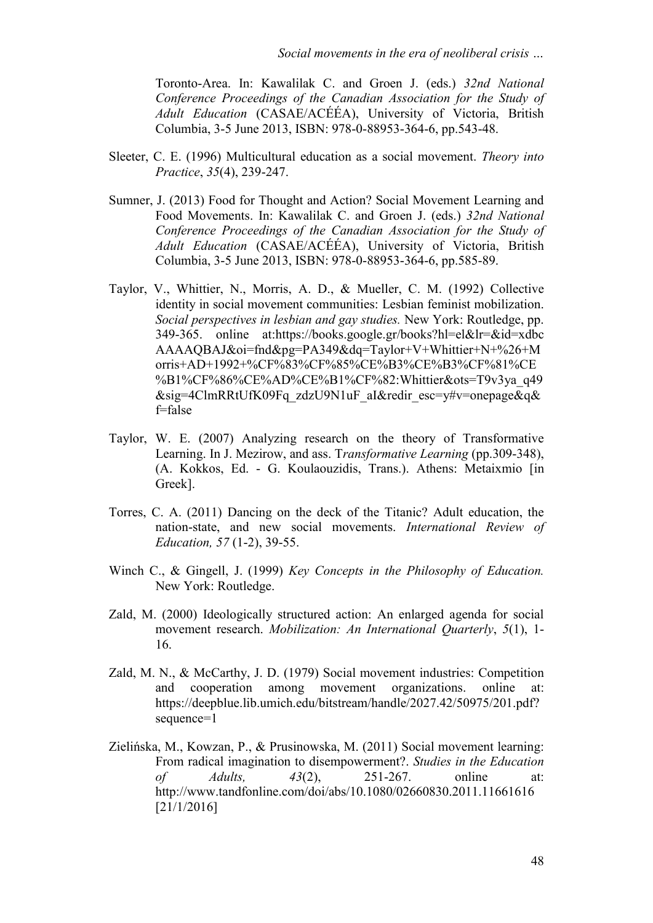Toronto-Area. In: Kawalilak C. and Groen J. (eds.) *32nd National Conference Proceedings of the Canadian Association for the Study of Adult Education* (CASAE/ACÉÉA), University of Victoria, British Columbia, 3-5 June 2013, ISBN: 978-0-88953-364-6, pp.543-48.

- Sleeter, C. E. (1996) Multicultural education as a social movement. *Theory into Practice*, *35*(4), 239-247.
- Sumner, J. (2013) Food for Thought and Action? Social Movement Learning and Food Movements. In: Kawalilak C. and Groen J. (eds.) *32nd National Conference Proceedings of the Canadian Association for the Study of Adult Education* (CASAE/ACÉÉA), University of Victoria, British Columbia, 3-5 June 2013, ISBN: 978-0-88953-364-6, pp.585-89.
- Taylor, V., Whittier, N., Morris, A. D., & Mueller, C. M. (1992) Collective identity in social movement communities: Lesbian feminist mobilization. *Social perspectives in lesbian and gay studies.* New York: Routledge, pp. 349-365. online at[:https://books.google.gr/books?hl=el&lr=&id=xdbc](https://books.google.gr/books?hl=el&lr=&id=xdbc%20AAAAQBAJ&oi=fnd&pg=PA349&dq=Taylor+V+Whittier+N+%26+Morris+AD+1992+%CF%83%CF%85%CE%B3%CE%B3%CF%81%CE%B1%CF%86%CE%AD%CE%B1%CF%82:Whittier&ots=T9v3ya_q49&sig=4ClmRRtUfK09Fq_zdzU9N1uF_aI&redir_esc=y#v=onepage&q&f=false)  [AAAAQBAJ&oi=fnd&pg=PA349&dq=Taylor+V+Whittier+N+%26+M](https://books.google.gr/books?hl=el&lr=&id=xdbc%20AAAAQBAJ&oi=fnd&pg=PA349&dq=Taylor+V+Whittier+N+%26+Morris+AD+1992+%CF%83%CF%85%CE%B3%CE%B3%CF%81%CE%B1%CF%86%CE%AD%CE%B1%CF%82:Whittier&ots=T9v3ya_q49&sig=4ClmRRtUfK09Fq_zdzU9N1uF_aI&redir_esc=y#v=onepage&q&f=false) [orris+AD+1992+%CF%83%CF%85%CE%B3%CE%B3%CF%81%CE](https://books.google.gr/books?hl=el&lr=&id=xdbc%20AAAAQBAJ&oi=fnd&pg=PA349&dq=Taylor+V+Whittier+N+%26+Morris+AD+1992+%CF%83%CF%85%CE%B3%CE%B3%CF%81%CE%B1%CF%86%CE%AD%CE%B1%CF%82:Whittier&ots=T9v3ya_q49&sig=4ClmRRtUfK09Fq_zdzU9N1uF_aI&redir_esc=y#v=onepage&q&f=false) [%B1%CF%86%CE%AD%CE%B1%CF%82:Whittier&ots=T9v3ya\\_q49](https://books.google.gr/books?hl=el&lr=&id=xdbc%20AAAAQBAJ&oi=fnd&pg=PA349&dq=Taylor+V+Whittier+N+%26+Morris+AD+1992+%CF%83%CF%85%CE%B3%CE%B3%CF%81%CE%B1%CF%86%CE%AD%CE%B1%CF%82:Whittier&ots=T9v3ya_q49&sig=4ClmRRtUfK09Fq_zdzU9N1uF_aI&redir_esc=y#v=onepage&q&f=false) [&sig=4ClmRRtUfK09Fq\\_zdzU9N1uF\\_aI&redir\\_esc=y#v=onepage&q&](https://books.google.gr/books?hl=el&lr=&id=xdbc%20AAAAQBAJ&oi=fnd&pg=PA349&dq=Taylor+V+Whittier+N+%26+Morris+AD+1992+%CF%83%CF%85%CE%B3%CE%B3%CF%81%CE%B1%CF%86%CE%AD%CE%B1%CF%82:Whittier&ots=T9v3ya_q49&sig=4ClmRRtUfK09Fq_zdzU9N1uF_aI&redir_esc=y#v=onepage&q&f=false) [f=false](https://books.google.gr/books?hl=el&lr=&id=xdbc%20AAAAQBAJ&oi=fnd&pg=PA349&dq=Taylor+V+Whittier+N+%26+Morris+AD+1992+%CF%83%CF%85%CE%B3%CE%B3%CF%81%CE%B1%CF%86%CE%AD%CE%B1%CF%82:Whittier&ots=T9v3ya_q49&sig=4ClmRRtUfK09Fq_zdzU9N1uF_aI&redir_esc=y#v=onepage&q&f=false)
- Taylor, W. E. (2007) Analyzing research on the theory of Transformative Learning. In J. Mezirow, and ass. T*ransformative Learning* (pp.309-348), (A. Kokkos, Ed. - G. Koulaouzidis, Trans.). Athens: Metaixmio [in Greek].
- Torres, C. A. (2011) Dancing on the deck of the Titanic? Adult education, the nation-state, and new social movements. *International Review of Education, 57* (1-2), 39-55.
- Winch C., & Gingell, J. (1999) *Key Concepts in the Philosophy of Education.* New York: Routledge.
- Zald, M. (2000) Ideologically structured action: An enlarged agenda for social movement research. *Mobilization: An International Quarterly*, *5*(1), 1- 16.
- Zald, M. N., & McCarthy, J. D. (1979) Social movement industries: Competition and cooperation among movement organizations. online at: [https://deepblue.lib.umich.edu/bitstream/handle/2027.42/50975/201.pdf?](https://deepblue.lib.umich.edu/bitstream/handle/2027.42/50975/201.pdf?sequence=1) [sequence=1](https://deepblue.lib.umich.edu/bitstream/handle/2027.42/50975/201.pdf?sequence=1)
- Zielińska, M., Kowzan, P., & Prusinowska, M. (2011) Social movement learning: From radical imagination to disempowerment?. *Studies in the Education of Adults, 43*(2), 251-267. online at: <http://www.tandfonline.com/doi/abs/10.1080/02660830.2011.11661616> [21/1/2016]